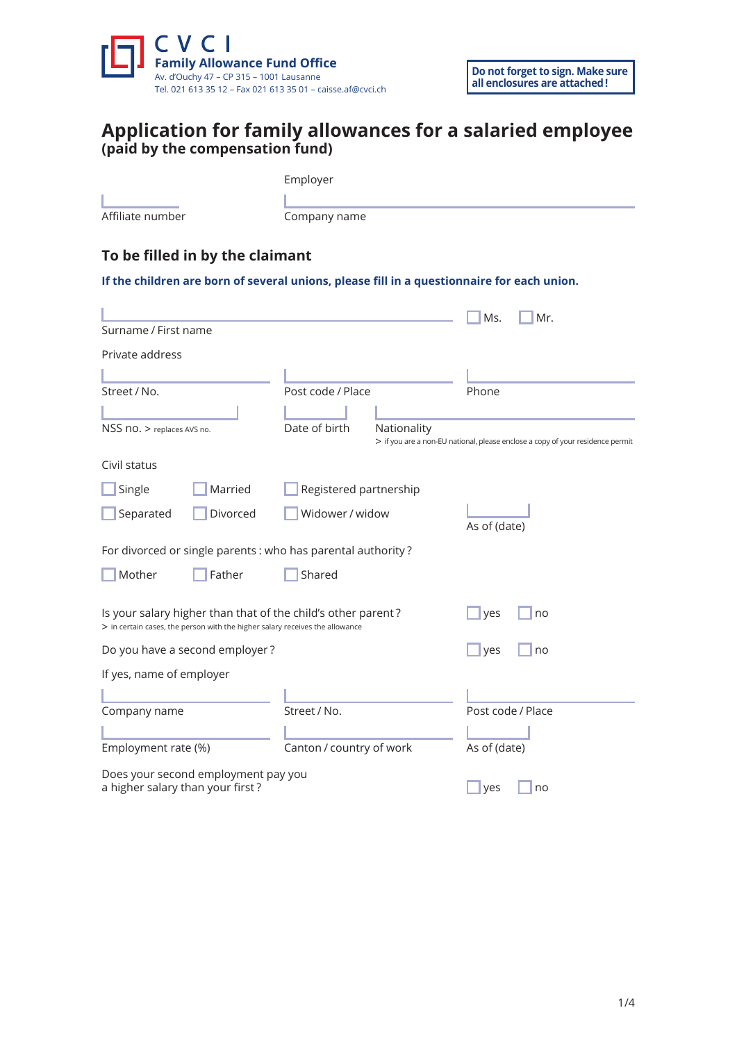

# **Application for family allowances for a salaried employee (paid by the compensation fund)**

| Employer<br>Affiliate number<br>Company name<br>To be filled in by the claimant<br>If the children are born of several unions, please fill in a questionnaire for each union. |          |                          |             |                   |                                                                                |  |
|-------------------------------------------------------------------------------------------------------------------------------------------------------------------------------|----------|--------------------------|-------------|-------------------|--------------------------------------------------------------------------------|--|
|                                                                                                                                                                               |          |                          |             | Ms.               | Mr.                                                                            |  |
| Surname / First name                                                                                                                                                          |          |                          |             |                   |                                                                                |  |
| Private address                                                                                                                                                               |          |                          |             |                   |                                                                                |  |
|                                                                                                                                                                               |          |                          |             |                   |                                                                                |  |
| Street / No.                                                                                                                                                                  |          | Post code / Place        |             | Phone             |                                                                                |  |
|                                                                                                                                                                               |          |                          |             |                   |                                                                                |  |
| NSS no. > replaces AVS no.                                                                                                                                                    |          | Date of birth            | Nationality |                   | > if you are a non-EU national, please enclose a copy of your residence permit |  |
| Civil status                                                                                                                                                                  |          |                          |             |                   |                                                                                |  |
| Single                                                                                                                                                                        | Married  | Registered partnership   |             |                   |                                                                                |  |
| Separated                                                                                                                                                                     | Divorced | Widower / widow          |             | As of (date)      |                                                                                |  |
| For divorced or single parents : who has parental authority?                                                                                                                  |          |                          |             |                   |                                                                                |  |
| Mother                                                                                                                                                                        | Father   | Shared                   |             |                   |                                                                                |  |
| Is your salary higher than that of the child's other parent?<br>> in certain cases, the person with the higher salary receives the allowance                                  |          |                          |             | yes               | no                                                                             |  |
| Do you have a second employer?                                                                                                                                                |          |                          | yes         | no                |                                                                                |  |
| If yes, name of employer                                                                                                                                                      |          |                          |             |                   |                                                                                |  |
|                                                                                                                                                                               |          |                          |             |                   |                                                                                |  |
| Company name                                                                                                                                                                  |          | Street / No.             |             | Post code / Place |                                                                                |  |
|                                                                                                                                                                               |          |                          |             |                   |                                                                                |  |
| Employment rate (%)                                                                                                                                                           |          | Canton / country of work |             | As of (date)      |                                                                                |  |
| Does your second employment pay you                                                                                                                                           |          |                          |             |                   |                                                                                |  |

a higher salary than your first?  $\Box$  yes  $\Box$  no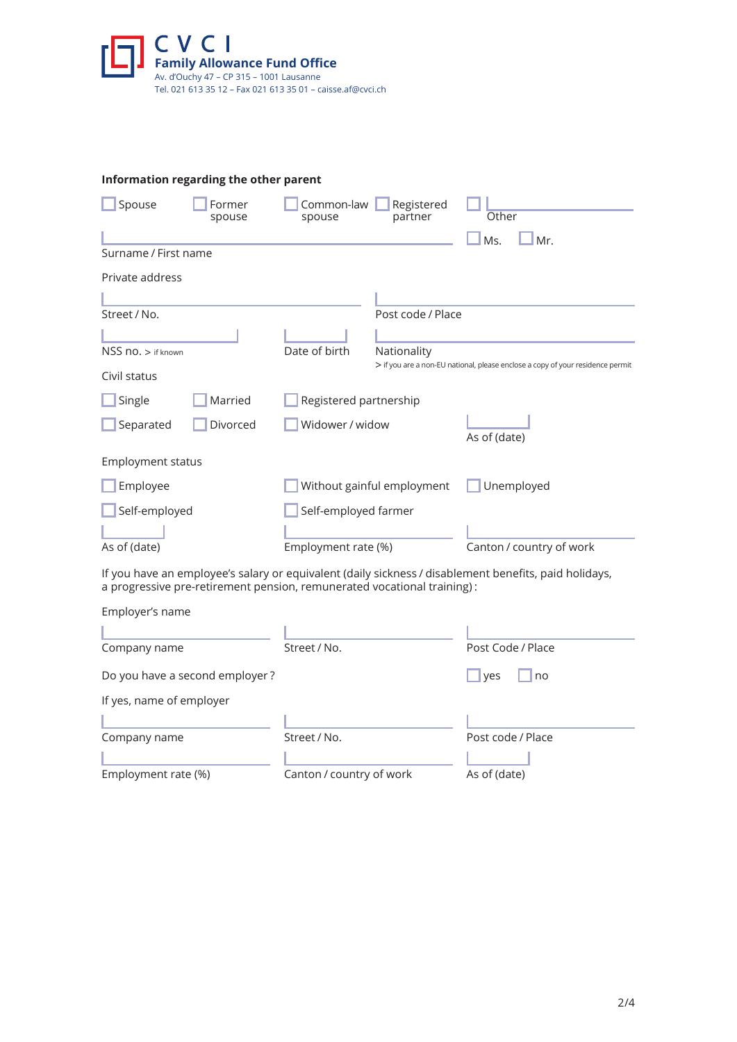

|                          | Information regarding the other parent                                  |                        |                            |                                                                                                       |
|--------------------------|-------------------------------------------------------------------------|------------------------|----------------------------|-------------------------------------------------------------------------------------------------------|
| Spouse                   | Former<br>spouse                                                        | Common-law<br>spouse   | Registered<br>partner      | Other                                                                                                 |
|                          |                                                                         |                        |                            | Ms.<br>Mr.                                                                                            |
| Surname / First name     |                                                                         |                        |                            |                                                                                                       |
| Private address          |                                                                         |                        |                            |                                                                                                       |
|                          |                                                                         |                        |                            |                                                                                                       |
| Street / No.             |                                                                         |                        | Post code / Place          |                                                                                                       |
|                          |                                                                         |                        |                            |                                                                                                       |
| $NSS$ no. $>$ if known   |                                                                         | Date of birth          | Nationality                | > if you are a non-EU national, please enclose a copy of your residence permit                        |
| Civil status             |                                                                         |                        |                            |                                                                                                       |
| Single                   | Married                                                                 | Registered partnership |                            |                                                                                                       |
| Separated                | Divorced                                                                | Widower / widow        |                            | As of (date)                                                                                          |
| <b>Employment status</b> |                                                                         |                        |                            |                                                                                                       |
| Employee                 |                                                                         |                        | Without gainful employment | Unemployed                                                                                            |
| Self-employed            |                                                                         | Self-employed farmer   |                            |                                                                                                       |
|                          |                                                                         |                        |                            |                                                                                                       |
| As of (date)             |                                                                         | Employment rate (%)    |                            | Canton / country of work                                                                              |
|                          | a progressive pre-retirement pension, remunerated vocational training): |                        |                            | If you have an employee's salary or equivalent (daily sickness / disablement benefits, paid holidays, |
| Employer's name          |                                                                         |                        |                            |                                                                                                       |
|                          |                                                                         |                        |                            |                                                                                                       |
| Company name             |                                                                         | Street / No.           |                            | Post Code / Place                                                                                     |
|                          | Do you have a second employer?                                          |                        |                            | yes<br>no                                                                                             |
| If yes, name of employer |                                                                         |                        |                            |                                                                                                       |
|                          |                                                                         |                        |                            |                                                                                                       |
| Company name             |                                                                         | Street / No.           |                            | Post code / Place                                                                                     |

Employment rate (%) Canton / country of work As of (date)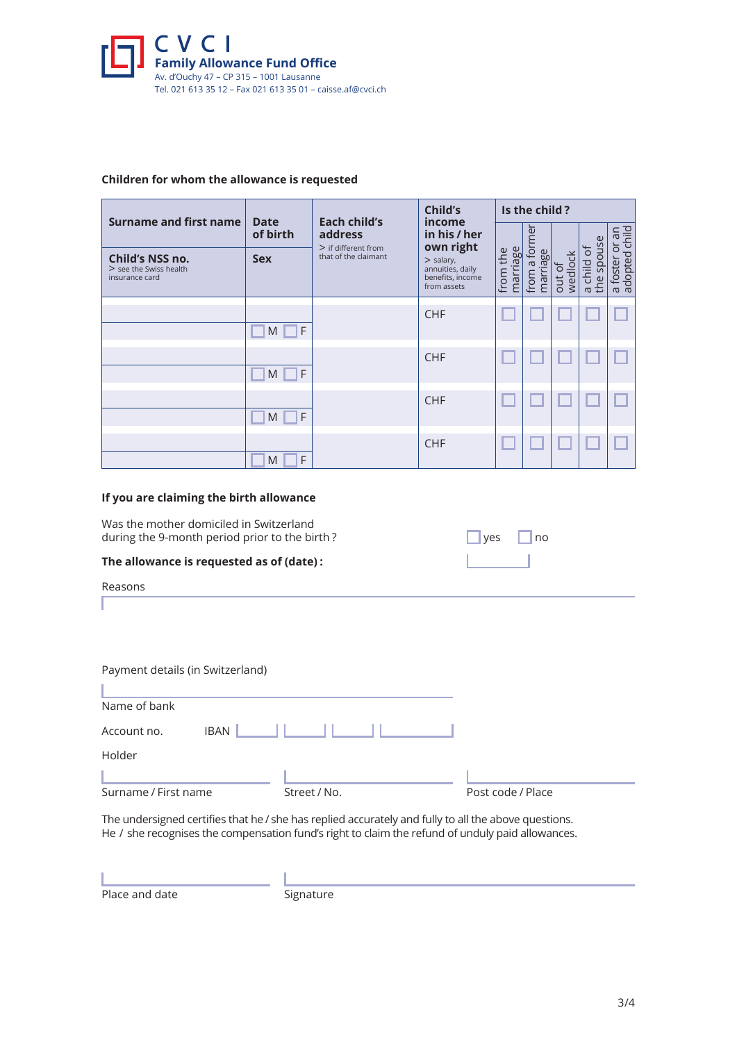

## **Children for whom the allowance is requested**

|                                                               |                         | Each child's<br>address                       | Child's<br>income<br>in his / her<br>own right<br>$>$ salary,<br>annuities, daily<br>benefits, income<br>from assets | Is the child?           |                                    |                   |                                                    |                                           |  |
|---------------------------------------------------------------|-------------------------|-----------------------------------------------|----------------------------------------------------------------------------------------------------------------------|-------------------------|------------------------------------|-------------------|----------------------------------------------------|-------------------------------------------|--|
| Surname and first name                                        | <b>Date</b><br>of birth |                                               |                                                                                                                      |                         | former                             |                   |                                                    |                                           |  |
| Child's NSS no.<br>$>$ see the Swiss health<br>insurance card | <b>Sex</b>              | $>$ if different from<br>that of the claimant |                                                                                                                      | marriage<br>the<br>from | ஃ<br>$\sigma$<br>ത<br>from<br>marr | 꽁<br>wedlo<br>out | ouse<br>ð<br>child<br><b>Sp</b><br>the<br>$\sigma$ | a foster or an<br>adopted child<br>foster |  |
|                                                               | F<br>M                  |                                               | <b>CHF</b>                                                                                                           |                         |                                    |                   |                                                    |                                           |  |
|                                                               | F<br>M                  |                                               | <b>CHF</b>                                                                                                           |                         |                                    |                   |                                                    |                                           |  |
|                                                               | F<br>M                  |                                               | <b>CHF</b>                                                                                                           |                         |                                    |                   |                                                    |                                           |  |
|                                                               | F<br>M                  |                                               | <b>CHF</b>                                                                                                           |                         |                                    |                   |                                                    |                                           |  |

### **If you are claiming the birth allowance**

Was the mother domiciled in Switzerland during the 9-month period prior to the birth ?

#### **The allowance is requested as of (date) :**

| Reasons |
|---------|
|---------|

| Payment details (in Switzerland) |              |                   |
|----------------------------------|--------------|-------------------|
|                                  |              |                   |
| Name of bank                     |              |                   |
| <b>IBAN</b><br>Account no.       |              |                   |
| Holder                           |              |                   |
|                                  |              |                   |
| Surname / First name             | Street / No. | Post code / Place |

The undersigned certifies that he / she has replied accurately and fully to all the above questions. He  /  she recognises the compensation fund's right to claim the refund of unduly paid allowances.

Place and date Signature